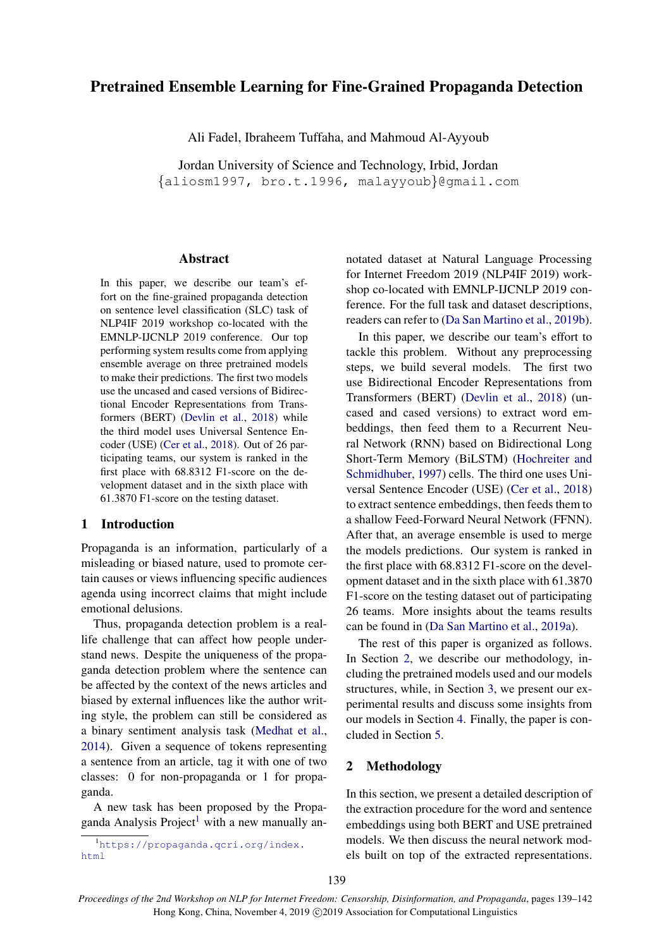# Pretrained Ensemble Learning for Fine-Grained Propaganda Detection

Ali Fadel, Ibraheem Tuffaha, and Mahmoud Al-Ayyoub

Jordan University of Science and Technology, Irbid, Jordan {aliosm1997, bro.t.1996, malayyoub}@gmail.com

# Abstract

In this paper, we describe our team's effort on the fine-grained propaganda detection on sentence level classification (SLC) task of NLP4IF 2019 workshop co-located with the EMNLP-IJCNLP 2019 conference. Our top performing system results come from applying ensemble average on three pretrained models to make their predictions. The first two models use the uncased and cased versions of Bidirectional Encoder Representations from Transformers (BERT) [\(Devlin et al.,](#page-3-0) [2018\)](#page-3-0) while the third model uses Universal Sentence Encoder (USE) [\(Cer et al.,](#page-3-1) [2018\)](#page-3-1). Out of 26 participating teams, our system is ranked in the first place with 68.8312 F1-score on the development dataset and in the sixth place with 61.3870 F1-score on the testing dataset.

#### 1 Introduction

Propaganda is an information, particularly of a misleading or biased nature, used to promote certain causes or views influencing specific audiences agenda using incorrect claims that might include emotional delusions.

Thus, propaganda detection problem is a reallife challenge that can affect how people understand news. Despite the uniqueness of the propaganda detection problem where the sentence can be affected by the context of the news articles and biased by external influences like the author writing style, the problem can still be considered as a binary sentiment analysis task [\(Medhat et al.,](#page-3-2) [2014\)](#page-3-2). Given a sequence of tokens representing a sentence from an article, tag it with one of two classes: 0 for non-propaganda or 1 for propaganda.

A new task has been proposed by the Propa-ganda Analysis Project<sup>[1](#page-0-0)</sup> with a new manually an-

<span id="page-0-0"></span><sup>1</sup>[https://propaganda.qcri.org/index.](https://propaganda.qcri.org/index.html) [html](https://propaganda.qcri.org/index.html)

notated dataset at Natural Language Processing for Internet Freedom 2019 (NLP4IF 2019) workshop co-located with EMNLP-IJCNLP 2019 conference. For the full task and dataset descriptions, readers can refer to [\(Da San Martino et al.,](#page-3-3) [2019b\)](#page-3-3).

In this paper, we describe our team's effort to tackle this problem. Without any preprocessing steps, we build several models. The first two use Bidirectional Encoder Representations from Transformers (BERT) [\(Devlin et al.,](#page-3-0) [2018\)](#page-3-0) (uncased and cased versions) to extract word embeddings, then feed them to a Recurrent Neural Network (RNN) based on Bidirectional Long Short-Term Memory (BiLSTM) [\(Hochreiter and](#page-3-4) [Schmidhuber,](#page-3-4) [1997\)](#page-3-4) cells. The third one uses Universal Sentence Encoder (USE) [\(Cer et al.,](#page-3-1) [2018\)](#page-3-1) to extract sentence embeddings, then feeds them to a shallow Feed-Forward Neural Network (FFNN). After that, an average ensemble is used to merge the models predictions. Our system is ranked in the first place with 68.8312 F1-score on the development dataset and in the sixth place with 61.3870 F1-score on the testing dataset out of participating 26 teams. More insights about the teams results can be found in [\(Da San Martino et al.,](#page-3-5) [2019a\)](#page-3-5).

The rest of this paper is organized as follows. In Section [2,](#page-0-1) we describe our methodology, including the pretrained models used and our models structures, while, in Section [3,](#page-2-0) we present our experimental results and discuss some insights from our models in Section [4.](#page-3-6) Finally, the paper is concluded in Section [5.](#page-3-7)

# <span id="page-0-1"></span>2 Methodology

In this section, we present a detailed description of the extraction procedure for the word and sentence embeddings using both BERT and USE pretrained models. We then discuss the neural network models built on top of the extracted representations.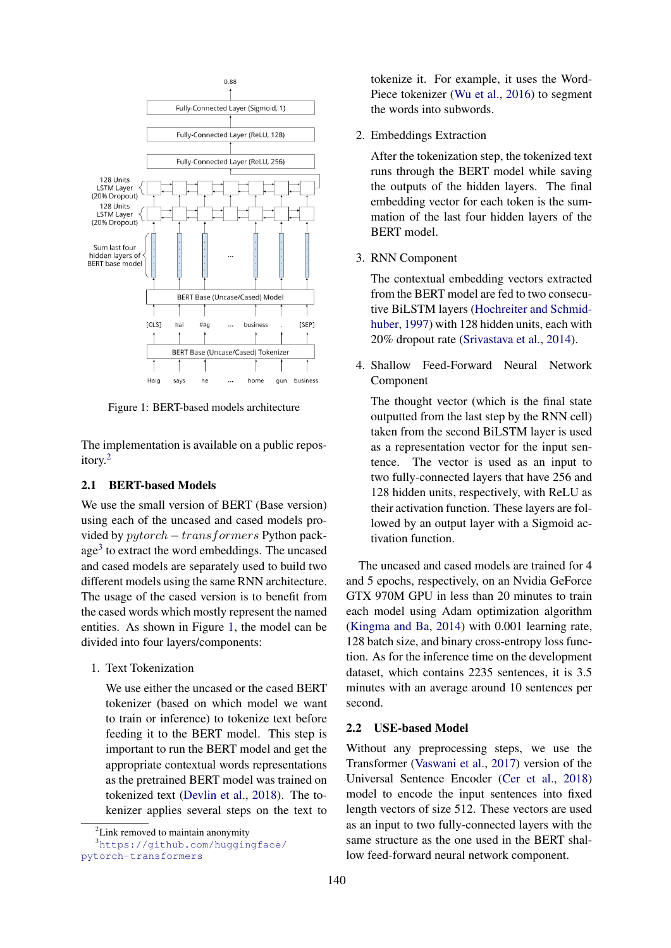<span id="page-1-2"></span>

Figure 1: BERT-based models architecture

The implementation is available on a public repository.[2](#page-1-0)

# 2.1 BERT-based Models

We use the small version of BERT (Base version) using each of the uncased and cased models provided by pytorch − transformers Python pack-age<sup>[3](#page-1-1)</sup> to extract the word embeddings. The uncased and cased models are separately used to build two different models using the same RNN architecture. The usage of the cased version is to benefit from the cased words which mostly represent the named entities. As shown in Figure [1,](#page-1-2) the model can be divided into four layers/components:

1. Text Tokenization

We use either the uncased or the cased BERT tokenizer (based on which model we want to train or inference) to tokenize text before feeding it to the BERT model. This step is important to run the BERT model and get the appropriate contextual words representations as the pretrained BERT model was trained on tokenized text [\(Devlin et al.,](#page-3-0) [2018\)](#page-3-0). The tokenizer applies several steps on the text to tokenize it. For example, it uses the Word-Piece tokenizer [\(Wu et al.,](#page-3-8) [2016\)](#page-3-8) to segment the words into subwords.

2. Embeddings Extraction

After the tokenization step, the tokenized text runs through the BERT model while saving the outputs of the hidden layers. The final embedding vector for each token is the summation of the last four hidden layers of the BERT model.

3. RNN Component

The contextual embedding vectors extracted from the BERT model are fed to two consecutive BiLSTM layers [\(Hochreiter and Schmid](#page-3-4)[huber,](#page-3-4) [1997\)](#page-3-4) with 128 hidden units, each with 20% dropout rate [\(Srivastava et al.,](#page-3-9) [2014\)](#page-3-9).

4. Shallow Feed-Forward Neural Network Component

The thought vector (which is the final state outputted from the last step by the RNN cell) taken from the second BiLSTM layer is used as a representation vector for the input sentence. The vector is used as an input to two fully-connected layers that have 256 and 128 hidden units, respectively, with ReLU as their activation function. These layers are followed by an output layer with a Sigmoid activation function.

The uncased and cased models are trained for 4 and 5 epochs, respectively, on an Nvidia GeForce GTX 970M GPU in less than 20 minutes to train each model using Adam optimization algorithm [\(Kingma and Ba,](#page-3-10) [2014\)](#page-3-10) with 0.001 learning rate, 128 batch size, and binary cross-entropy loss function. As for the inference time on the development dataset, which contains 2235 sentences, it is 3.5 minutes with an average around 10 sentences per second.

# 2.2 USE-based Model

Without any preprocessing steps, we use the Transformer [\(Vaswani et al.,](#page-3-11) [2017\)](#page-3-11) version of the Universal Sentence Encoder [\(Cer et al.,](#page-3-1) [2018\)](#page-3-1) model to encode the input sentences into fixed length vectors of size 512. These vectors are used as an input to two fully-connected layers with the same structure as the one used in the BERT shallow feed-forward neural network component.

<span id="page-1-1"></span><span id="page-1-0"></span> ${}^{2}$ Link removed to maintain anonymity

<sup>3</sup>[https://github.com/huggingface/](https://github.com/huggingface/pytorch-transformers) [pytorch-transformers](https://github.com/huggingface/pytorch-transformers)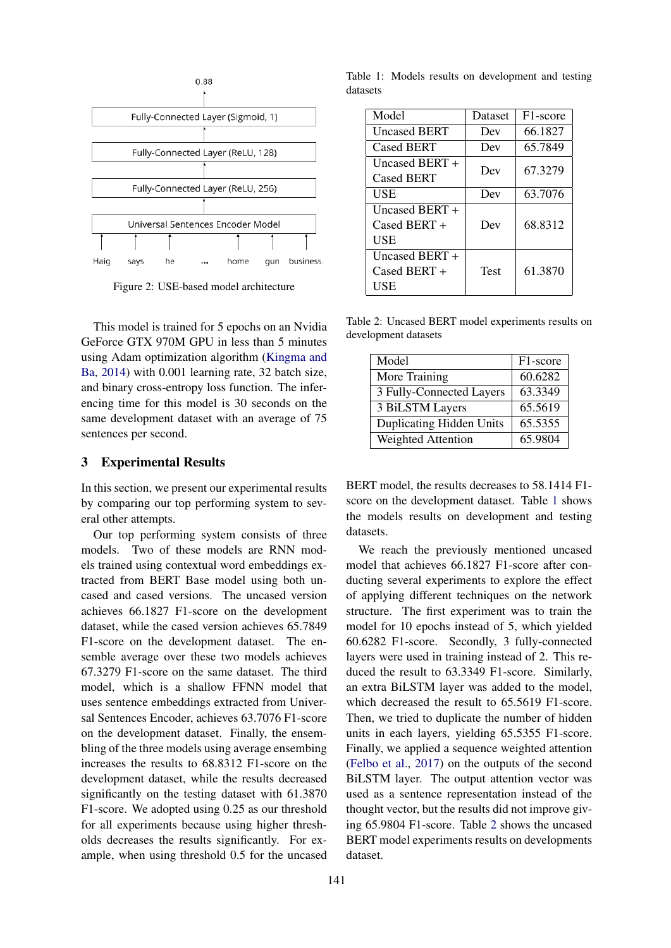

Figure 2: USE-based model architecture

This model is trained for 5 epochs on an Nvidia GeForce GTX 970M GPU in less than 5 minutes using Adam optimization algorithm [\(Kingma and](#page-3-10) [Ba,](#page-3-10) [2014\)](#page-3-10) with 0.001 learning rate, 32 batch size, and binary cross-entropy loss function. The inferencing time for this model is 30 seconds on the same development dataset with an average of 75 sentences per second.

# <span id="page-2-0"></span>3 Experimental Results

In this section, we present our experimental results by comparing our top performing system to several other attempts.

Our top performing system consists of three models. Two of these models are RNN models trained using contextual word embeddings extracted from BERT Base model using both uncased and cased versions. The uncased version achieves 66.1827 F1-score on the development dataset, while the cased version achieves 65.7849 F1-score on the development dataset. The ensemble average over these two models achieves 67.3279 F1-score on the same dataset. The third model, which is a shallow FFNN model that uses sentence embeddings extracted from Universal Sentences Encoder, achieves 63.7076 F1-score on the development dataset. Finally, the ensembling of the three models using average ensembing increases the results to 68.8312 F1-score on the development dataset, while the results decreased significantly on the testing dataset with 61.3870 F1-score. We adopted using 0.25 as our threshold for all experiments because using higher thresholds decreases the results significantly. For example, when using threshold 0.5 for the uncased

<span id="page-2-1"></span>Table 1: Models results on development and testing datasets

| Model                          | Dataset | F <sub>1</sub> -score |
|--------------------------------|---------|-----------------------|
| <b>Uncased BERT</b>            | Dev     | 66.1827               |
| <b>Cased BERT</b>              | Dev     | 65.7849               |
| Uncased BERT $+$               | Dev     | 67.3279               |
| <b>Cased BERT</b>              |         |                       |
| USE                            | Dev     | 63.7076               |
| Uncased BERT $+$               |         |                       |
| $\text{Case} \, \text{BERT} +$ | Dev     | 68.8312               |
| USE                            |         |                       |
| Uncased BERT $+$               |         |                       |
| Cased BERT +                   | Test    | 61.3870               |
| USE                            |         |                       |

<span id="page-2-2"></span>Table 2: Uncased BERT model experiments results on development datasets

| Model                           | F1-score |
|---------------------------------|----------|
| More Training                   | 60.6282  |
| 3 Fully-Connected Layers        | 63.3349  |
| 3 BiLSTM Layers                 | 65.5619  |
| <b>Duplicating Hidden Units</b> | 65.5355  |
| Weighted Attention              | 65.9804  |

BERT model, the results decreases to 58.1414 F1 score on the development dataset. Table [1](#page-2-1) shows the models results on development and testing datasets.

We reach the previously mentioned uncased model that achieves 66.1827 F1-score after conducting several experiments to explore the effect of applying different techniques on the network structure. The first experiment was to train the model for 10 epochs instead of 5, which yielded 60.6282 F1-score. Secondly, 3 fully-connected layers were used in training instead of 2. This reduced the result to 63.3349 F1-score. Similarly, an extra BiLSTM layer was added to the model, which decreased the result to 65.5619 F1-score. Then, we tried to duplicate the number of hidden units in each layers, yielding 65.5355 F1-score. Finally, we applied a sequence weighted attention [\(Felbo et al.,](#page-3-12) [2017\)](#page-3-12) on the outputs of the second BiLSTM layer. The output attention vector was used as a sentence representation instead of the thought vector, but the results did not improve giving 65.9804 F1-score. Table [2](#page-2-2) shows the uncased BERT model experiments results on developments dataset.